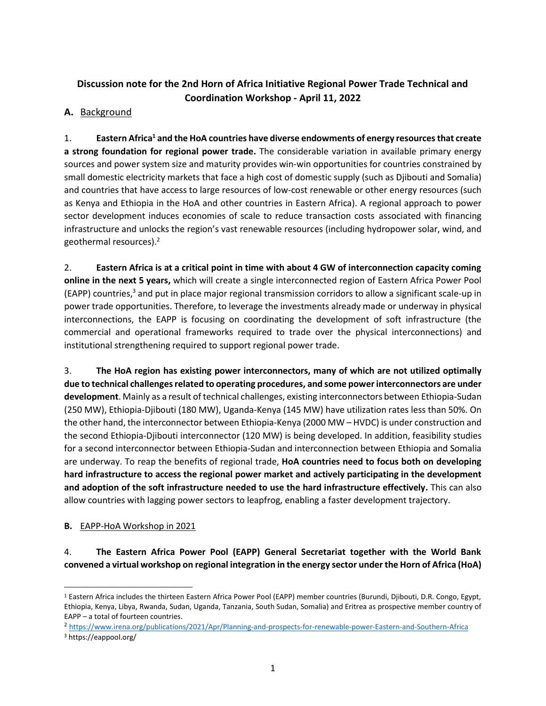# **Discussion note for the 2nd Horn of Africa Initiative Regional Power Trade Technical and Coordination Workshop - April 11, 2022**

## **A.** Background

1. **Eastern Africa<sup>1</sup> and the HoA countries have diverse endowments of energy resourcesthat create a strong foundation for regional power trade.** The considerable variation in available primary energy sources and power system size and maturity provides win-win opportunities for countries constrained by small domestic electricity markets that face a high cost of domestic supply (such as Djibouti and Somalia) and countries that have access to large resources of low-cost renewable or other energy resources (such as Kenya and Ethiopia in the HoA and other countries in Eastern Africa). A regional approach to power sector development induces economies of scale to reduce transaction costs associated with financing infrastructure and unlocks the region's vast renewable resources (including hydropower solar, wind, and geothermal resources). 2

2. **Eastern Africa is at a critical point in time with about 4 GW of interconnection capacity coming online in the next 5 years,** which will create a single interconnected region of Eastern Africa Power Pool (EAPP) countries, <sup>3</sup> and put in place major regional transmission corridors to allow a significant scale-up in power trade opportunities. Therefore, to leverage the investments already made or underway in physical interconnections, the EAPP is focusing on coordinating the development of soft infrastructure (the commercial and operational frameworks required to trade over the physical interconnections) and institutional strengthening required to support regional power trade.

3. **The HoA region has existing power interconnectors, many of which are not utilized optimally due to technical challengesrelated to operating procedures, and some power interconnectors are under development**. Mainly as a result of technical challenges, existing interconnectors between Ethiopia-Sudan (250 MW), Ethiopia-Djibouti (180 MW), Uganda-Kenya (145 MW) have utilization rates less than 50%. On the other hand, the interconnector between Ethiopia-Kenya (2000 MW – HVDC) is under construction and the second Ethiopia-Djibouti interconnector (120 MW) is being developed. In addition, feasibility studies for a second interconnector between Ethiopia-Sudan and interconnection between Ethiopia and Somalia are underway. To reap the benefits of regional trade, **HoA countries need to focus both on developing hard infrastructure to access the regional power market and actively participating in the development and adoption of the soft infrastructure needed to use the hard infrastructure effectively.** This can also allow countries with lagging power sectors to leapfrog, enabling a faster development trajectory.

## **B.** EAPP-HoA Workshop in 2021

4. **The Eastern Africa Power Pool (EAPP) General Secretariat together with the World Bank convened a virtual workshop on regional integration in the energy sector under the Horn of Africa (HoA)** 

<sup>1</sup> Eastern Africa includes the thirteen Eastern Africa Power Pool (EAPP) member countries (Burundi, Djibouti, D.R. Congo, Egypt, Ethiopia, Kenya, Libya, Rwanda, Sudan, Uganda, Tanzania, South Sudan, Somalia) and Eritrea as prospective member country of EAPP – a total of fourteen countries.

<sup>&</sup>lt;sup>2</sup> <https://www.irena.org/publications/2021/Apr/Planning-and-prospects-for-renewable-power-Eastern-and-Southern-Africa> <sup>3</sup> https://eappool.org/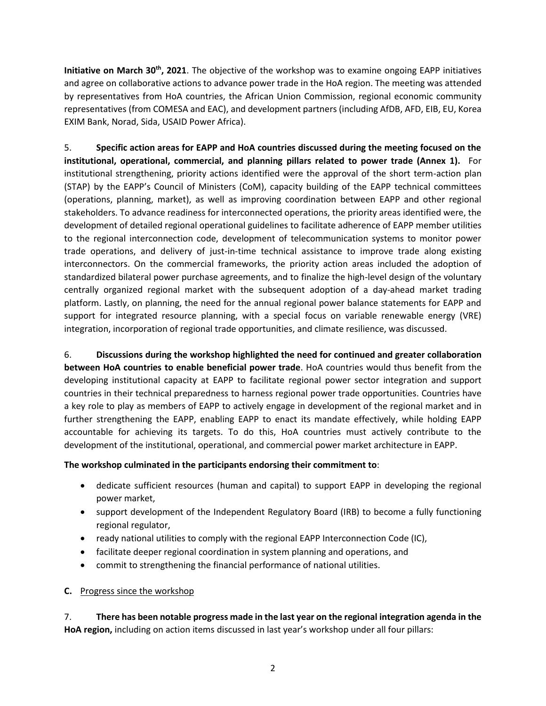**Initiative on March 30th, 2021**. The objective of the workshop was to examine ongoing EAPP initiatives and agree on collaborative actions to advance power trade in the HoA region. The meeting was attended by representatives from HoA countries, the African Union Commission, regional economic community representatives (from COMESA and EAC), and development partners (including AfDB, AFD, EIB, EU, Korea EXIM Bank, Norad, Sida, USAID Power Africa).

5. **Specific action areas for EAPP and HoA countries discussed during the meeting focused on the institutional, operational, commercial, and planning pillars related to power trade (Annex 1).** For institutional strengthening, priority actions identified were the approval of the short term-action plan (STAP) by the EAPP's Council of Ministers (CoM), capacity building of the EAPP technical committees (operations, planning, market), as well as improving coordination between EAPP and other regional stakeholders. To advance readiness for interconnected operations, the priority areas identified were, the development of detailed regional operational guidelines to facilitate adherence of EAPP member utilities to the regional interconnection code, development of telecommunication systems to monitor power trade operations, and delivery of just-in-time technical assistance to improve trade along existing interconnectors. On the commercial frameworks, the priority action areas included the adoption of standardized bilateral power purchase agreements, and to finalize the high-level design of the voluntary centrally organized regional market with the subsequent adoption of a day-ahead market trading platform. Lastly, on planning, the need for the annual regional power balance statements for EAPP and support for integrated resource planning, with a special focus on variable renewable energy (VRE) integration, incorporation of regional trade opportunities, and climate resilience, was discussed.

6. **Discussions during the workshop highlighted the need for continued and greater collaboration between HoA countries to enable beneficial power trade**. HoA countries would thus benefit from the developing institutional capacity at EAPP to facilitate regional power sector integration and support countries in their technical preparedness to harness regional power trade opportunities. Countries have a key role to play as members of EAPP to actively engage in development of the regional market and in further strengthening the EAPP, enabling EAPP to enact its mandate effectively, while holding EAPP accountable for achieving its targets. To do this, HoA countries must actively contribute to the development of the institutional, operational, and commercial power market architecture in EAPP.

## **The workshop culminated in the participants endorsing their commitment to**:

- dedicate sufficient resources (human and capital) to support EAPP in developing the regional power market,
- support development of the Independent Regulatory Board (IRB) to become a fully functioning regional regulator,
- ready national utilities to comply with the regional EAPP Interconnection Code (IC),
- facilitate deeper regional coordination in system planning and operations, and
- commit to strengthening the financial performance of national utilities.

## **C.** Progress since the workshop

7. **There has been notable progress made in the last year on the regional integration agenda in the HoA region,** including on action items discussed in last year's workshop under all four pillars: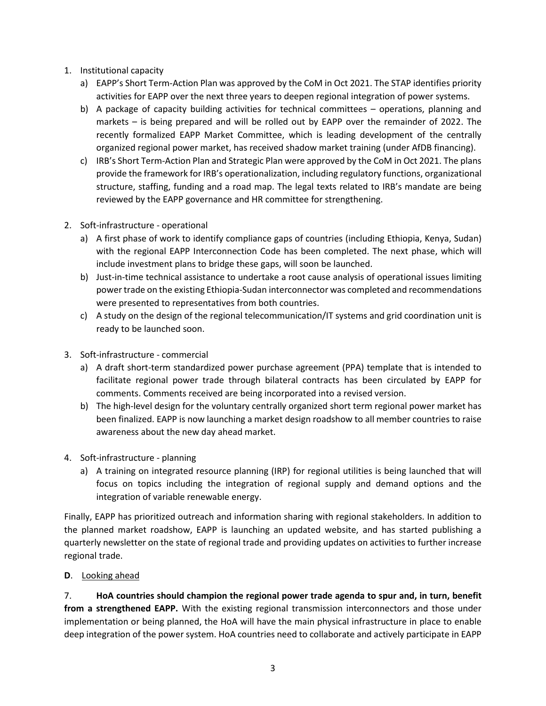- 1. Institutional capacity
	- a) EAPP's Short Term-Action Plan was approved by the CoM in Oct 2021. The STAP identifies priority activities for EAPP over the next three years to deepen regional integration of power systems.
	- b) A package of capacity building activities for technical committees operations, planning and markets – is being prepared and will be rolled out by EAPP over the remainder of 2022. The recently formalized EAPP Market Committee, which is leading development of the centrally organized regional power market, has received shadow market training (under AfDB financing).
	- c) IRB's Short Term-Action Plan and Strategic Plan were approved by the CoM in Oct 2021. The plans provide the framework for IRB's operationalization, including regulatory functions, organizational structure, staffing, funding and a road map. The legal texts related to IRB's mandate are being reviewed by the EAPP governance and HR committee for strengthening.
- 2. Soft-infrastructure operational
	- a) A first phase of work to identify compliance gaps of countries (including Ethiopia, Kenya, Sudan) with the regional EAPP Interconnection Code has been completed. The next phase, which will include investment plans to bridge these gaps, will soon be launched.
	- b) Just-in-time technical assistance to undertake a root cause analysis of operational issues limiting power trade on the existing Ethiopia-Sudan interconnector was completed and recommendations were presented to representatives from both countries.
	- c) A study on the design of the regional telecommunication/IT systems and grid coordination unit is ready to be launched soon.
- 3. Soft-infrastructure commercial
	- a) A draft short-term standardized power purchase agreement (PPA) template that is intended to facilitate regional power trade through bilateral contracts has been circulated by EAPP for comments. Comments received are being incorporated into a revised version.
	- b) The high-level design for the voluntary centrally organized short term regional power market has been finalized. EAPP is now launching a market design roadshow to all member countries to raise awareness about the new day ahead market.
- 4. Soft-infrastructure planning
	- a) A training on integrated resource planning (IRP) for regional utilities is being launched that will focus on topics including the integration of regional supply and demand options and the integration of variable renewable energy.

Finally, EAPP has prioritized outreach and information sharing with regional stakeholders. In addition to the planned market roadshow, EAPP is launching an updated website, and has started publishing a quarterly newsletter on the state of regional trade and providing updates on activities to further increase regional trade.

**D**. Looking ahead

7. **HoA countries should champion the regional power trade agenda to spur and, in turn, benefit from a strengthened EAPP.** With the existing regional transmission interconnectors and those under implementation or being planned, the HoA will have the main physical infrastructure in place to enable deep integration of the power system. HoA countries need to collaborate and actively participate in EAPP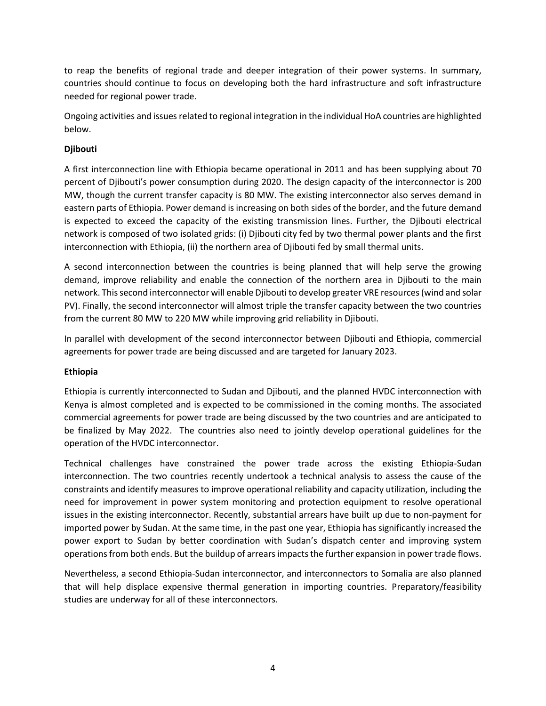to reap the benefits of regional trade and deeper integration of their power systems. In summary, countries should continue to focus on developing both the hard infrastructure and soft infrastructure needed for regional power trade.

Ongoing activities and issues related to regional integration in the individual HoA countries are highlighted below.

## **Djibouti**

A first interconnection line with Ethiopia became operational in 2011 and has been supplying about 70 percent of Djibouti's power consumption during 2020. The design capacity of the interconnector is 200 MW, though the current transfer capacity is 80 MW. The existing interconnector also serves demand in eastern parts of Ethiopia. Power demand is increasing on both sides of the border, and the future demand is expected to exceed the capacity of the existing transmission lines. Further, the Djibouti electrical network is composed of two isolated grids: (i) Djibouti city fed by two thermal power plants and the first interconnection with Ethiopia, (ii) the northern area of Djibouti fed by small thermal units.

A second interconnection between the countries is being planned that will help serve the growing demand, improve reliability and enable the connection of the northern area in Djibouti to the main network. Thissecond interconnector will enable Djibouti to develop greater VRE resources (wind and solar PV). Finally, the second interconnector will almost triple the transfer capacity between the two countries from the current 80 MW to 220 MW while improving grid reliability in Djibouti.

In parallel with development of the second interconnector between Djibouti and Ethiopia, commercial agreements for power trade are being discussed and are targeted for January 2023.

#### **Ethiopia**

Ethiopia is currently interconnected to Sudan and Djibouti, and the planned HVDC interconnection with Kenya is almost completed and is expected to be commissioned in the coming months. The associated commercial agreements for power trade are being discussed by the two countries and are anticipated to be finalized by May 2022. The countries also need to jointly develop operational guidelines for the operation of the HVDC interconnector.

Technical challenges have constrained the power trade across the existing Ethiopia-Sudan interconnection. The two countries recently undertook a technical analysis to assess the cause of the constraints and identify measures to improve operational reliability and capacity utilization, including the need for improvement in power system monitoring and protection equipment to resolve operational issues in the existing interconnector. Recently, substantial arrears have built up due to non-payment for imported power by Sudan. At the same time, in the past one year, Ethiopia has significantly increased the power export to Sudan by better coordination with Sudan's dispatch center and improving system operations from both ends. But the buildup of arrears impacts the further expansion in power trade flows.

Nevertheless, a second Ethiopia-Sudan interconnector, and interconnectors to Somalia are also planned that will help displace expensive thermal generation in importing countries. Preparatory/feasibility studies are underway for all of these interconnectors.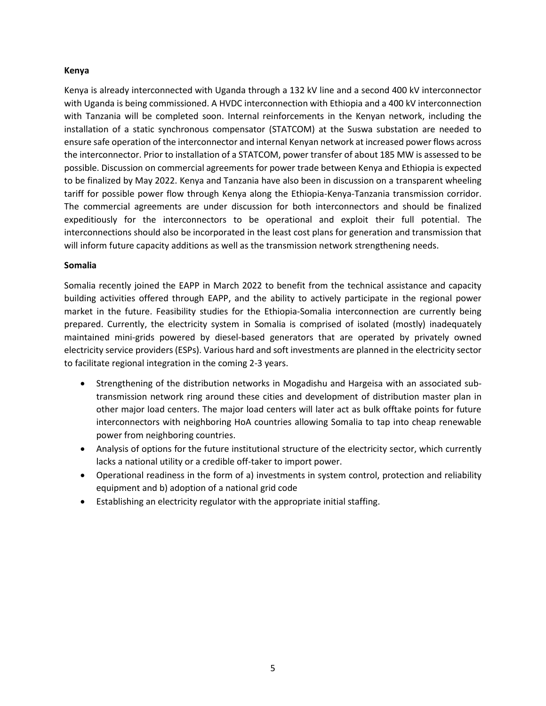#### **Kenya**

Kenya is already interconnected with Uganda through a 132 kV line and a second 400 kV interconnector with Uganda is being commissioned. A HVDC interconnection with Ethiopia and a 400 kV interconnection with Tanzania will be completed soon. Internal reinforcements in the Kenyan network, including the installation of a static synchronous compensator (STATCOM) at the Suswa substation are needed to ensure safe operation of the interconnector and internal Kenyan network at increased power flows across the interconnector. Prior to installation of a STATCOM, power transfer of about 185 MW is assessed to be possible. Discussion on commercial agreements for power trade between Kenya and Ethiopia is expected to be finalized by May 2022. Kenya and Tanzania have also been in discussion on a transparent wheeling tariff for possible power flow through Kenya along the Ethiopia-Kenya-Tanzania transmission corridor. The commercial agreements are under discussion for both interconnectors and should be finalized expeditiously for the interconnectors to be operational and exploit their full potential. The interconnections should also be incorporated in the least cost plans for generation and transmission that will inform future capacity additions as well as the transmission network strengthening needs.

#### **Somalia**

Somalia recently joined the EAPP in March 2022 to benefit from the technical assistance and capacity building activities offered through EAPP, and the ability to actively participate in the regional power market in the future. Feasibility studies for the Ethiopia-Somalia interconnection are currently being prepared. Currently, the electricity system in Somalia is comprised of isolated (mostly) inadequately maintained mini-grids powered by diesel-based generators that are operated by privately owned electricity service providers (ESPs). Various hard and soft investments are planned in the electricity sector to facilitate regional integration in the coming 2-3 years.

- Strengthening of the distribution networks in Mogadishu and Hargeisa with an associated subtransmission network ring around these cities and development of distribution master plan in other major load centers. The major load centers will later act as bulk offtake points for future interconnectors with neighboring HoA countries allowing Somalia to tap into cheap renewable power from neighboring countries.
- Analysis of options for the future institutional structure of the electricity sector, which currently lacks a national utility or a credible off-taker to import power.
- Operational readiness in the form of a) investments in system control, protection and reliability equipment and b) adoption of a national grid code
- Establishing an electricity regulator with the appropriate initial staffing.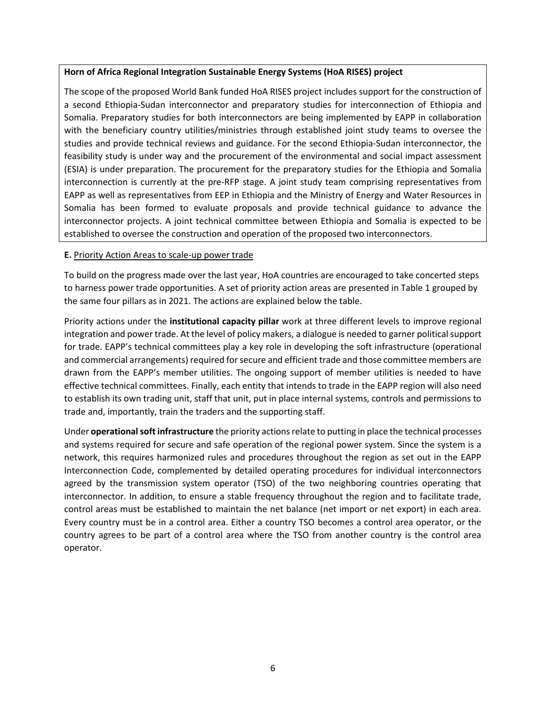#### **Horn of Africa Regional Integration Sustainable Energy Systems (HoA RISES) project**

The scope of the proposed World Bank funded HoA RISES project includes support for the construction of a second Ethiopia-Sudan interconnector and preparatory studies for interconnection of Ethiopia and Somalia. Preparatory studies for both interconnectors are being implemented by EAPP in collaboration with the beneficiary country utilities/ministries through established joint study teams to oversee the studies and provide technical reviews and guidance. For the second Ethiopia-Sudan interconnector, the feasibility study is under way and the procurement of the environmental and social impact assessment (ESIA) is under preparation. The procurement for the preparatory studies for the Ethiopia and Somalia interconnection is currently at the pre-RFP stage. A joint study team comprising representatives from EAPP as well as representatives from EEP in Ethiopia and the Ministry of Energy and Water Resources in Somalia has been formed to evaluate proposals and provide technical guidance to advance the interconnector projects. A joint technical committee between Ethiopia and Somalia is expected to be established to oversee the construction and operation of the proposed two interconnectors.

#### **E.** Priority Action Areas to scale-up power trade

To build on the progress made over the last year, HoA countries are encouraged to take concerted steps to harness power trade opportunities. A set of priority action areas are presented in Table 1 grouped by the same four pillars as in 2021. The actions are explained below the table.

Priority actions under the **institutional capacity pillar** work at three different levels to improve regional integration and power trade. At the level of policy makers, a dialogue is needed to garner political support for trade. EAPP's technical committees play a key role in developing the soft infrastructure (operational and commercial arrangements) required for secure and efficient trade and those committee members are drawn from the EAPP's member utilities. The ongoing support of member utilities is needed to have effective technical committees. Finally, each entity that intends to trade in the EAPP region will also need to establish its own trading unit, staff that unit, put in place internal systems, controls and permissions to trade and, importantly, train the traders and the supporting staff.

Under **operational soft infrastructure** the priority actions relate to putting in place the technical processes and systems required for secure and safe operation of the regional power system. Since the system is a network, this requires harmonized rules and procedures throughout the region as set out in the EAPP Interconnection Code, complemented by detailed operating procedures for individual interconnectors agreed by the transmission system operator (TSO) of the two neighboring countries operating that interconnector. In addition, to ensure a stable frequency throughout the region and to facilitate trade, control areas must be established to maintain the net balance (net import or net export) in each area. Every country must be in a control area. Either a country TSO becomes a control area operator, or the country agrees to be part of a control area where the TSO from another country is the control area operator.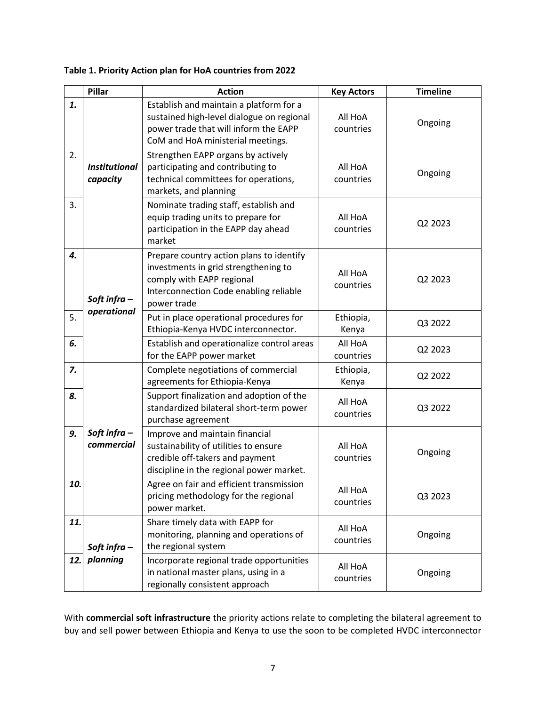|     | Pillar                           | <b>Action</b>                                                                                                                                                          | <b>Key Actors</b>    | <b>Timeline</b> |
|-----|----------------------------------|------------------------------------------------------------------------------------------------------------------------------------------------------------------------|----------------------|-----------------|
| 1.  |                                  | Establish and maintain a platform for a<br>sustained high-level dialogue on regional<br>power trade that will inform the EAPP<br>CoM and HoA ministerial meetings.     | All HoA<br>countries | Ongoing         |
| 2.  | <b>Institutional</b><br>capacity | Strengthen EAPP organs by actively<br>participating and contributing to<br>technical committees for operations,<br>markets, and planning                               | All HoA<br>countries | Ongoing         |
| 3.  |                                  | Nominate trading staff, establish and<br>equip trading units to prepare for<br>participation in the EAPP day ahead<br>market                                           | All HoA<br>countries | Q2 2023         |
| 4.  | Soft infra-<br>operational       | Prepare country action plans to identify<br>investments in grid strengthening to<br>comply with EAPP regional<br>Interconnection Code enabling reliable<br>power trade | All HoA<br>countries | Q2 2023         |
| 5.  |                                  | Put in place operational procedures for<br>Ethiopia-Kenya HVDC interconnector.                                                                                         | Ethiopia,<br>Kenya   | Q3 2022         |
| 6.  |                                  | Establish and operationalize control areas<br>for the EAPP power market                                                                                                | All HoA<br>countries | Q2 2023         |
| 7.  | Soft infra-<br>commercial        | Complete negotiations of commercial<br>agreements for Ethiopia-Kenya                                                                                                   | Ethiopia,<br>Kenya   | Q2 2022         |
| 8.  |                                  | Support finalization and adoption of the<br>standardized bilateral short-term power<br>purchase agreement                                                              | All HoA<br>countries | Q3 2022         |
| 9.  |                                  | Improve and maintain financial<br>sustainability of utilities to ensure<br>credible off-takers and payment<br>discipline in the regional power market.                 | All HoA<br>countries | Ongoing         |
| 10. |                                  | Agree on fair and efficient transmission<br>pricing methodology for the regional<br>power market.                                                                      | All HoA<br>countries | Q3 2023         |
| 11. | Soft infra $-$                   | Share timely data with EAPP for<br>monitoring, planning and operations of<br>the regional system                                                                       | All HoA<br>countries | Ongoing         |
| 12. | planning                         | Incorporate regional trade opportunities<br>in national master plans, using in a<br>regionally consistent approach                                                     | All HoA<br>countries | Ongoing         |

**Table 1. Priority Action plan for HoA countries from 2022**

With **commercial soft infrastructure** the priority actions relate to completing the bilateral agreement to buy and sell power between Ethiopia and Kenya to use the soon to be completed HVDC interconnector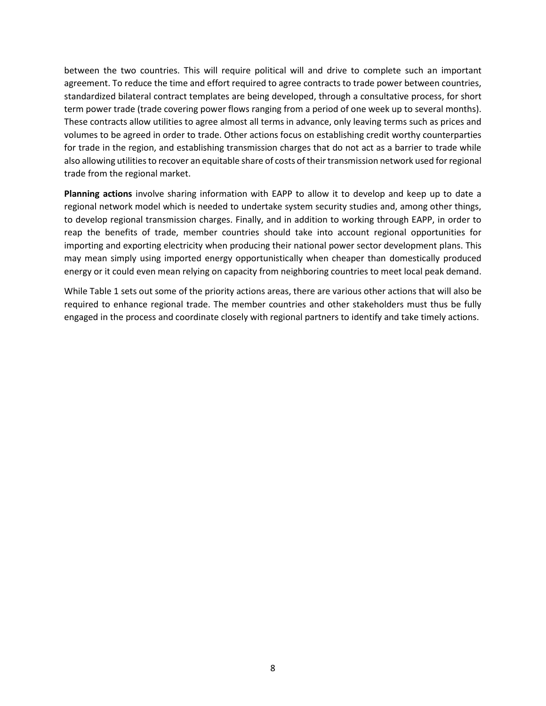between the two countries. This will require political will and drive to complete such an important agreement. To reduce the time and effort required to agree contracts to trade power between countries, standardized bilateral contract templates are being developed, through a consultative process, for short term power trade (trade covering power flows ranging from a period of one week up to several months). These contracts allow utilities to agree almost all terms in advance, only leaving terms such as prices and volumes to be agreed in order to trade. Other actions focus on establishing credit worthy counterparties for trade in the region, and establishing transmission charges that do not act as a barrier to trade while also allowing utilities to recover an equitable share of costs of their transmission network used for regional trade from the regional market.

**Planning actions** involve sharing information with EAPP to allow it to develop and keep up to date a regional network model which is needed to undertake system security studies and, among other things, to develop regional transmission charges. Finally, and in addition to working through EAPP, in order to reap the benefits of trade, member countries should take into account regional opportunities for importing and exporting electricity when producing their national power sector development plans. This may mean simply using imported energy opportunistically when cheaper than domestically produced energy or it could even mean relying on capacity from neighboring countries to meet local peak demand.

While Table 1 sets out some of the priority actions areas, there are various other actions that will also be required to enhance regional trade. The member countries and other stakeholders must thus be fully engaged in the process and coordinate closely with regional partners to identify and take timely actions.